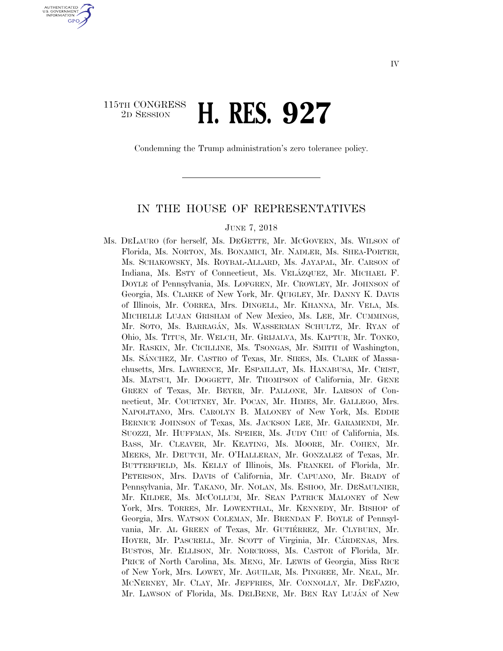## 115TH CONGRESS 2D SESSION **H. RES. 927**

U.S. GOVERNMENT **GPO** 

Condemning the Trump administration's zero tolerance policy.

### IN THE HOUSE OF REPRESENTATIVES

#### JUNE 7, 2018

Ms. DELAURO (for herself, Ms. DEGETTE, Mr. MCGOVERN, Ms. WILSON of Florida, Ms. NORTON, Ms. BONAMICI, Mr. NADLER, Ms. SHEA-PORTER, Ms. SCHAKOWSKY, Ms. ROYBAL-ALLARD, Ms. JAYAPAL, Mr. CARSON of Indiana, Ms. ESTY of Connecticut, Ms. VELÁZQUEZ, Mr. MICHAEL F. DOYLE of Pennsylvania, Ms. LOFGREN, Mr. CROWLEY, Mr. JOHNSON of Georgia, Ms. CLARKE of New York, Mr. QUIGLEY, Mr. DANNY K. DAVIS of Illinois, Mr. CORREA, Mrs. DINGELL, Mr. KHANNA, Mr. VELA, Ms. MICHELLE LUJAN GRISHAM of New Mexico, Ms. LEE, Mr. CUMMINGS, Mr. SOTO, Ms. BARRAGA´N, Ms. WASSERMAN SCHULTZ, Mr. RYAN of Ohio, Ms. TITUS, Mr. WELCH, Mr. GRIJALVA, Ms. KAPTUR, Mr. TONKO, Mr. RASKIN, Mr. CICILLINE, Ms. TSONGAS, Mr. SMITH of Washington, Ms. SA´NCHEZ, Mr. CASTRO of Texas, Mr. SIRES, Ms. CLARK of Massachusetts, Mrs. LAWRENCE, Mr. ESPAILLAT, Ms. HANABUSA, Mr. CRIST, Ms. MATSUI, Mr. DOGGETT, Mr. THOMPSON of California, Mr. GENE GREEN of Texas, Mr. BEYER, Mr. PALLONE, Mr. LARSON of Connecticut, Mr. COURTNEY, Mr. POCAN, Mr. HIMES, Mr. GALLEGO, Mrs. NAPOLITANO, Mrs. CAROLYN B. MALONEY of New York, Ms. EDDIE BERNICE JOHNSON of Texas, Ms. JACKSON LEE, Mr. GARAMENDI, Mr. SUOZZI, Mr. HUFFMAN, Ms. SPEIER, Ms. JUDY CHU of California, Ms. BASS, Mr. CLEAVER, Mr. KEATING, Ms. MOORE, Mr. COHEN, Mr. MEEKS, Mr. DEUTCH, Mr. O'HALLERAN, Mr. GONZALEZ of Texas, Mr. BUTTERFIELD, Ms. KELLY of Illinois, Ms. FRANKEL of Florida, Mr. PETERSON, Mrs. DAVIS of California, Mr. CAPUANO, Mr. BRADY of Pennsylvania, Mr. TAKANO, Mr. NOLAN, Ms. ESHOO, Mr. DESAULNIER, Mr. KILDEE, Ms. MCCOLLUM, Mr. SEAN PATRICK MALONEY of New York, Mrs. TORRES, Mr. LOWENTHAL, Mr. KENNEDY, Mr. BISHOP of Georgia, Mrs. WATSON COLEMAN, Mr. BRENDAN F. BOYLE of Pennsylvania, Mr. AL GREEN of Texas, Mr. GUTIÉRREZ, Mr. CLYBURN, Mr. HOYER, Mr. PASCRELL, Mr. SCOTT of Virginia, Mr. CARDENAS, Mrs. BUSTOS, Mr. ELLISON, Mr. NORCROSS, Ms. CASTOR of Florida, Mr. PRICE of North Carolina, Ms. MENG, Mr. LEWIS of Georgia, Miss RICE of New York, Mrs. LOWEY, Mr. AGUILAR, Ms. PINGREE, Mr. NEAL, Mr. MCNERNEY, Mr. CLAY, Mr. JEFFRIES, Mr. CONNOLLY, Mr. DEFAZIO, Mr. LAWSON of Florida, Ms. DELBENE, Mr. BEN RAY LUJÁN of New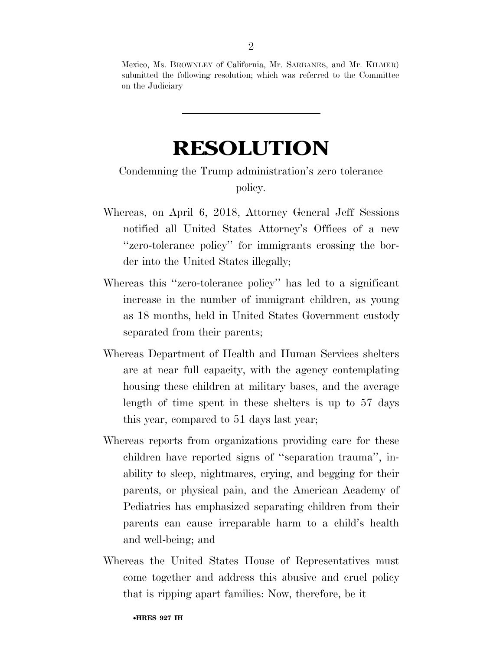Mexico, Ms. BROWNLEY of California, Mr. SARBANES, and Mr. KILMER) submitted the following resolution; which was referred to the Committee on the Judiciary

# **RESOLUTION**

## Condemning the Trump administration's zero tolerance policy.

- Whereas, on April 6, 2018, Attorney General Jeff Sessions notified all United States Attorney's Offices of a new ''zero-tolerance policy'' for immigrants crossing the border into the United States illegally;
- Whereas this ''zero-tolerance policy'' has led to a significant increase in the number of immigrant children, as young as 18 months, held in United States Government custody separated from their parents;
- Whereas Department of Health and Human Services shelters are at near full capacity, with the agency contemplating housing these children at military bases, and the average length of time spent in these shelters is up to 57 days this year, compared to 51 days last year;
- Whereas reports from organizations providing care for these children have reported signs of ''separation trauma'', inability to sleep, nightmares, crying, and begging for their parents, or physical pain, and the American Academy of Pediatrics has emphasized separating children from their parents can cause irreparable harm to a child's health and well-being; and
- Whereas the United States House of Representatives must come together and address this abusive and cruel policy that is ripping apart families: Now, therefore, be it